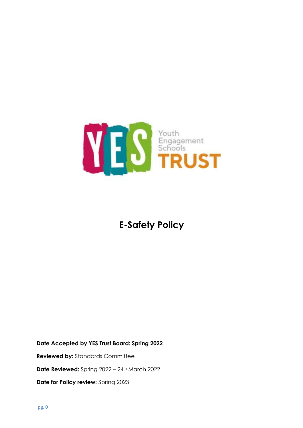

# **E-Safety Policy**

**Date Accepted by YES Trust Board: Spring 2022**

**Reviewed by:** Standards Committee

**Date Reviewed:** Spring 2022 – 24<sup>th</sup> March 2022

**Date for Policy review:** Spring 2023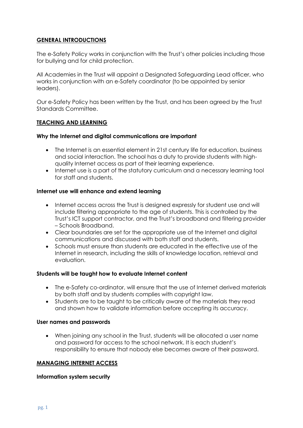# **GENERAL INTRODUCTIONS**

The e-Safety Policy works in conjunction with the Trust's other policies including those for bullying and for child protection.

All Academies in the Trust will appoint a Designated Safeguarding Lead officer, who works in conjunction with an e-Safety coordinator (to be appointed by senior leaders).

Our e-Safety Policy has been written by the Trust, and has been agreed by the Trust Standards Committee.

# **TEACHING AND LEARNING**

#### **Why the Internet and digital communications are important**

- The Internet is an essential element in 21st century life for education, business and social interaction. The school has a duty to provide students with highquality Internet access as part of their learning experience.
- Internet use is a part of the statutory curriculum and a necessary learning tool for staff and students.

#### **Internet use will enhance and extend learning**

- Internet access across the Trust is designed expressly for student use and will include filtering appropriate to the age of students. This is controlled by the Trust's ICT support contractor, and the Trust's broadband and filtering provider – Schools Broadband.
- Clear boundaries are set for the appropriate use of the Internet and digital communications and discussed with both staff and students.
- Schools must ensure than students are educated in the effective use of the Internet in research, including the skills of knowledge location, retrieval and evaluation.

#### **Students will be taught how to evaluate Internet content**

- The e-Safety co-ordinator, will ensure that the use of Internet derived materials by both staff and by students complies with copyright law.
- Students are to be taught to be critically aware of the materials they read and shown how to validate information before accepting its accuracy.

#### **User names and passwords**

• When joining any school in the Trust, students will be allocated a user name and password for access to the school network. It is each student's responsibility to ensure that nobody else becomes aware of their password.

# **MANAGING INTERNET ACCESS**

#### **Information system security**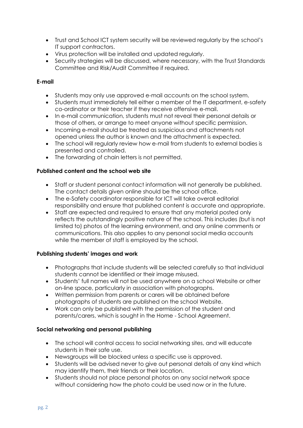- Trust and School ICT system security will be reviewed regularly by the school's IT support contractors.
- Virus protection will be installed and updated regularly.
- Security strategies will be discussed, where necessary, with the Trust Standards Committee and Risk/Audit Committee if required.

# **E-mail**

- Students may only use approved e-mail accounts on the school system.
- Students must immediately tell either a member of the IT department, e-safety co-ordinator or their teacher if they receive offensive e-mail.
- In e-mail communication, students must not reveal their personal details or those of others, or arrange to meet anyone without specific permission.
- Incoming e-mail should be treated as suspicious and attachments not opened unless the author is known and the attachment is expected.
- The school will regularly review how e-mail from students to external bodies is presented and controlled.
- The forwarding of chain letters is not permitted.

# **Published content and the school web site**

- Staff or student personal contact information will not generally be published. The contact details given online should be the school office.
- The e-Safety coordinator responsible for ICT will take overall editorial responsibility and ensure that published content is accurate and appropriate.
- Staff are expected and required to ensure that any material posted only reflects the outstandingly positive nature of the school. This includes (but is not limited to) photos of the learning environment, and any online comments or communications. This also applies to any personal social media accounts while the member of staff is employed by the school.

# **Publishing students' images and work**

- Photographs that include students will be selected carefully so that individual students cannot be identified or their image misused.
- Students' full names will not be used anywhere on a school Website or other on-line space, particularly in association with photographs.
- Written permission from parents or carers will be obtained before photographs of students are published on the school Website.
- Work can only be published with the permission of the student and parents/carers, which is sought in the Home - School Agreement.

# **Social networking and personal publishing**

- The school will control access to social networking sites, and will educate students in their safe use.
- Newsgroups will be blocked unless a specific use is approved.
- Students will be advised never to give out personal details of any kind which may identify them, their friends or their location.
- Students should not place personal photos on any social network space without considering how the photo could be used now or in the future.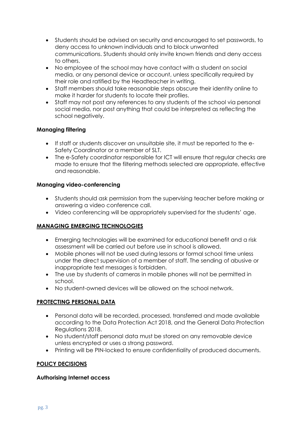- Students should be advised on security and encouraged to set passwords, to deny access to unknown individuals and to block unwanted communications. Students should only invite known friends and deny access to others.
- No employee of the school may have contact with a student on social media, or any personal device or account, unless specifically required by their role and ratified by the Headteacher in writing.
- Staff members should take reasonable steps obscure their identity online to make it harder for students to locate their profiles.
- Staff may not post any references to any students of the school via personal social media, nor post anything that could be interpreted as reflecting the school negatively.

# **Managing filtering**

- If staff or students discover an unsuitable site, it must be reported to the e-Safety Coordinator or a member of SLT.
- The e-Safety coordinator responsible for ICT will ensure that regular checks are made to ensure that the filtering methods selected are appropriate, effective and reasonable.

# **Managing video-conferencing**

- Students should ask permission from the supervising teacher before making or answering a video conference call.
- Video conferencing will be appropriately supervised for the students' age.

# **MANAGING EMERGING TECHNOLOGIES**

- Emerging technologies will be examined for educational benefit and a risk assessment will be carried out before use in school is allowed.
- Mobile phones will not be used during lessons or formal school time unless under the direct supervision of a member of staff. The sending of abusive or inappropriate text messages is forbidden.
- The use by students of cameras in mobile phones will not be permitted in school.
- No student-owned devices will be allowed on the school network.

# **PROTECTING PERSONAL DATA**

- Personal data will be recorded, processed, transferred and made available according to the Data Protection Act 2018, and the General Data Protection Regulations 2018.
- No student/staff personal data must be stored on any removable device unless encrypted or uses a strong password.
- Printing will be PIN-locked to ensure confidentiality of produced documents.

# **POLICY DECISIONS**

# **Authorising Internet access**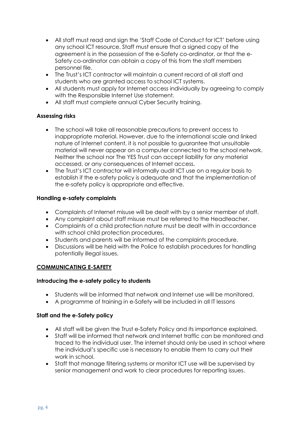- All staff must read and sign the 'Staff Code of Conduct for ICT' before using any school ICT resource. Staff must ensure that a signed copy of the agreement is in the possession of the e-Safety co-ordinator, or that the e-Safety co-ordinator can obtain a copy of this from the staff members personnel file.
- The Trust's ICT contractor will maintain a current record of all staff and students who are granted access to school ICT systems.
- All students must apply for Internet access individually by agreeing to comply with the Responsible Internet Use statement.
- All staff must complete annual Cyber Security training.

# **Assessing risks**

- The school will take all reasonable precautions to prevent access to inappropriate material. However, due to the international scale and linked nature of Internet content, it is not possible to guarantee that unsuitable material will never appear on a computer connected to the school network. Neither the school nor The YES Trust can accept liability for any material accessed, or any consequences of Internet access.
- The Trust's ICT contractor will informally audit ICT use on a regular basis to establish if the e-safety policy is adequate and that the implementation of the e-safety policy is appropriate and effective.

# **Handling e-safety complaints**

- Complaints of Internet misuse will be dealt with by a senior member of staff.
- Any complaint about staff misuse must be referred to the Headteacher.
- Complaints of a child protection nature must be dealt with in accordance with school child protection procedures.
- Students and parents will be informed of the complaints procedure.
- Discussions will be held with the Police to establish procedures for handling potentially illegal issues.

# **COMMUNICATING E-SAFETY**

# **Introducing the e-safety policy to students**

- Students will be informed that network and Internet use will be monitored.
- A programme of training in e-Safety will be included in all IT lessons

# **Staff and the e-Safety policy**

- All staff will be given the Trust e-Safety Policy and its importance explained.
- Staff will be informed that network and Internet traffic can be monitored and traced to the individual user. The internet should only be used in school where the individual's specific use is necessary to enable them to carry out their work in school.
- Staff that manage filtering systems or monitor ICT use will be supervised by senior management and work to clear procedures for reporting issues.